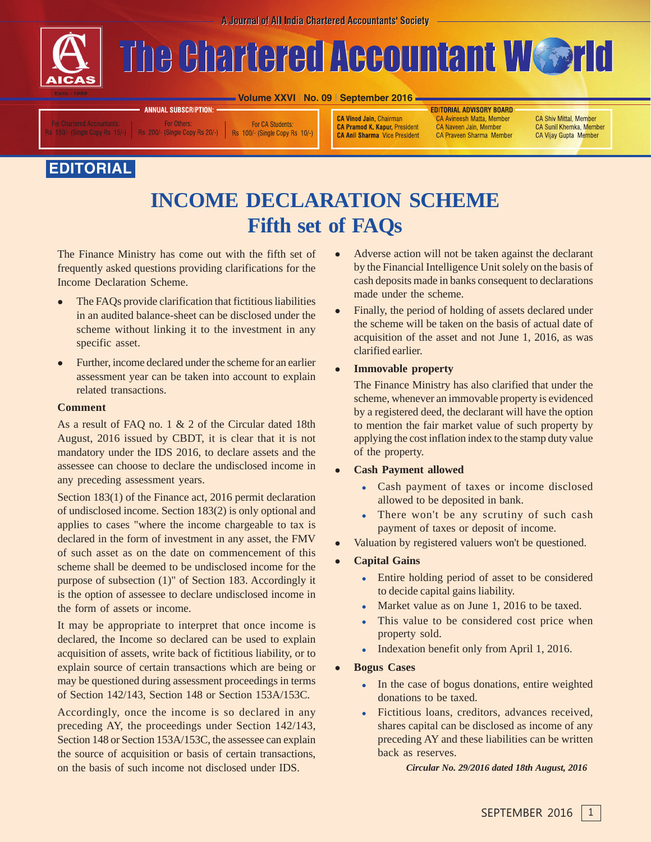A Journal of All India Chartered Accountants' Society



# The Chartered Accountant Wsorld

**Volume XXVI | No. 09 | September 2016**

**For Others** 200/- (Single Copy Rs 20/-)

**ANNUAL SUBSCRIPTION:** 

For CA Students: Rs 100/- (Single Copy Rs 10/-) **CA Vinod Jain, Chairman CA Pramod K. Kapur, President CA Anil Sharma** Vice President **EDITORIAL ADVISORY BOARD** CA Avineesh Matta, Member CA Naveen Jain, Member CA Praveen Sharma Member

CA Shiv Mittal, Member **CA Sunil Khemka, Member** CA Vijay Gupta Member

## **EDITORIAL**

# **INCOME DECLARATION SCHEME Fifth set of FAQs**

The Finance Ministry has come out with the fifth set of frequently asked questions providing clarifications for the Income Declaration Scheme.

- $\bullet$  The FAQs provide clarification that fictitious liabilities in an audited balance-sheet can be disclosed under the scheme without linking it to the investment in any specific asset.
- $\bullet$  Further, income declared under the scheme for an earlier assessment year can be taken into account to explain related transactions.

## **Comment**

As a result of FAQ no. 1 & 2 of the Circular dated 18th August, 2016 issued by CBDT, it is clear that it is not mandatory under the IDS 2016, to declare assets and the assessee can choose to declare the undisclosed income in any preceding assessment years.

Section 183(1) of the Finance act, 2016 permit declaration of undisclosed income. Section 183(2) is only optional and applies to cases "where the income chargeable to tax is declared in the form of investment in any asset, the FMV of such asset as on the date on commencement of this scheme shall be deemed to be undisclosed income for the purpose of subsection (1)" of Section 183. Accordingly it is the option of assessee to declare undisclosed income in the form of assets or income.

It may be appropriate to interpret that once income is declared, the Income so declared can be used to explain acquisition of assets, write back of fictitious liability, or to explain source of certain transactions which are being or may be questioned during assessment proceedings in terms of Section 142/143, Section 148 or Section 153A/153C.

Accordingly, once the income is so declared in any preceding AY, the proceedings under Section 142/143, Section 148 or Section 153A/153C, the assessee can explain the source of acquisition or basis of certain transactions, on the basis of such income not disclosed under IDS.

- $\bullet$  Adverse action will not be taken against the declarant by the Financial Intelligence Unit solely on the basis of cash deposits made in banks consequent to declarations made under the scheme.
- $\bullet$  Finally, the period of holding of assets declared under the scheme will be taken on the basis of actual date of acquisition of the asset and not June 1, 2016, as was clarified earlier.

#### $\bullet$ **Immovable property**

The Finance Ministry has also clarified that under the scheme, whenever an immovable property is evidenced by a registered deed, the declarant will have the option to mention the fair market value of such property by applying the cost inflation index to the stamp duty value of the property.

- $\bullet$  **Cash Payment allowed**
	- Cash payment of taxes or income disclosed allowed to be deposited in bank.
	- $\bullet$  There won't be any scrutiny of such cash payment of taxes or deposit of income.
- $\bullet$ Valuation by registered valuers won't be questioned.
- $\bullet$  **Capital Gains**
	- - Entire holding period of asset to be considered to decide capital gains liability.
	- $\bullet$ Market value as on June 1, 2016 to be taxed.
	- $\bullet$  This value to be considered cost price when property sold.
	- $\bullet$ Indexation benefit only from April 1, 2016.
- $\bullet$  **Bogus Cases**
	- $\bullet$  In the case of bogus donations, entire weighted donations to be taxed.
	- - Fictitious loans, creditors, advances received, shares capital can be disclosed as income of any preceding AY and these liabilities can be written back as reserves.

*Circular No. 29/2016 dated 18th August, 2016*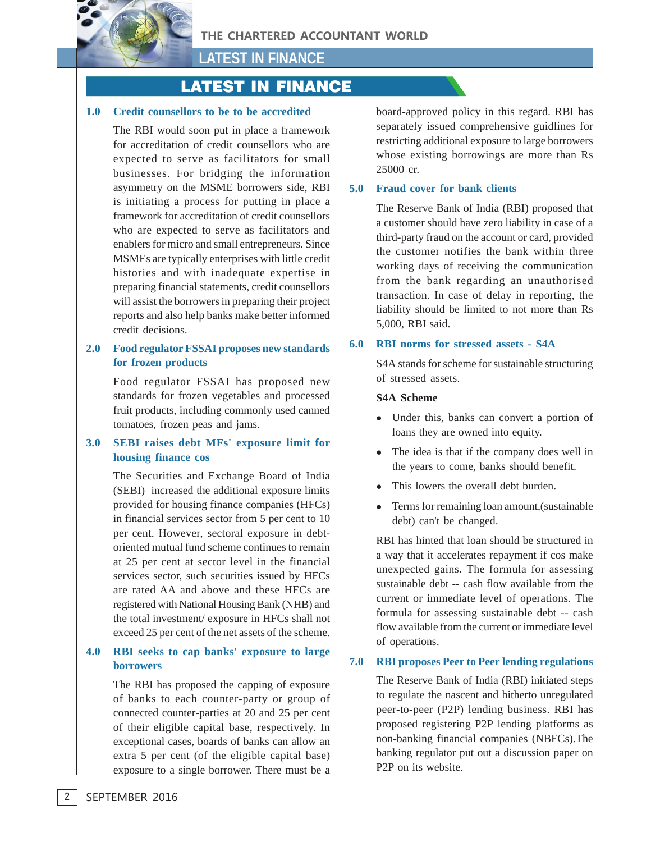

**LATEST IN FINANCE**

## LATEST IN FINANCE

#### **1.0 Credit counsellors to be to be accredited**

The RBI would soon put in place a framework for accreditation of credit counsellors who are expected to serve as facilitators for small businesses. For bridging the information asymmetry on the MSME borrowers side, RBI is initiating a process for putting in place a framework for accreditation of credit counsellors who are expected to serve as facilitators and enablers for micro and small entrepreneurs. Since MSMEs are typically enterprises with little credit histories and with inadequate expertise in preparing financial statements, credit counsellors will assist the borrowers in preparing their project reports and also help banks make better informed credit decisions.

## **2.0 Food regulator FSSAI proposes new standards for frozen products**

Food regulator FSSAI has proposed new standards for frozen vegetables and processed fruit products, including commonly used canned tomatoes, frozen peas and jams.

## **3.0 SEBI raises debt MFs' exposure limit for housing finance cos**

The Securities and Exchange Board of India (SEBI) increased the additional exposure limits provided for housing finance companies (HFCs) in financial services sector from 5 per cent to 10 per cent. However, sectoral exposure in debtoriented mutual fund scheme continues to remain at 25 per cent at sector level in the financial services sector, such securities issued by HFCs are rated AA and above and these HFCs are registered with National Housing Bank (NHB) and the total investment/ exposure in HFCs shall not exceed 25 per cent of the net assets of the scheme.

## **4.0 RBI seeks to cap banks' exposure to large borrowers**

The RBI has proposed the capping of exposure of banks to each counter-party or group of connected counter-parties at 20 and 25 per cent of their eligible capital base, respectively. In exceptional cases, boards of banks can allow an extra 5 per cent (of the eligible capital base) exposure to a single borrower. There must be a

board-approved policy in this regard. RBI has separately issued comprehensive guidlines for restricting additional exposure to large borrowers whose existing borrowings are more than Rs 25000 cr.

## **5.0 Fraud cover for bank clients**

The Reserve Bank of India (RBI) proposed that a customer should have zero liability in case of a third-party fraud on the account or card, provided the customer notifies the bank within three working days of receiving the communication from the bank regarding an unauthorised transaction. In case of delay in reporting, the liability should be limited to not more than Rs 5,000, RBI said.

#### **6.0 RBI norms for stressed assets - S4A**

S4A stands for scheme for sustainable structuring of stressed assets.

#### **S4A Scheme**

- Under this, banks can convert a portion of loans they are owned into equity.
- The idea is that if the company does well in the years to come, banks should benefit.
- $\bullet$ This lowers the overall debt burden.
- $\bullet$  Terms for remaining loan amount,(sustainable debt) can't be changed.

RBI has hinted that loan should be structured in a way that it accelerates repayment if cos make unexpected gains. The formula for assessing sustainable debt -- cash flow available from the current or immediate level of operations. The formula for assessing sustainable debt -- cash flow available from the current or immediate level of operations.

## **7.0 RBI proposes Peer to Peer lending regulations**

The Reserve Bank of India (RBI) initiated steps to regulate the nascent and hitherto unregulated peer-to-peer (P2P) lending business. RBI has proposed registering P2P lending platforms as non-banking financial companies (NBFCs).The banking regulator put out a discussion paper on P2P on its website.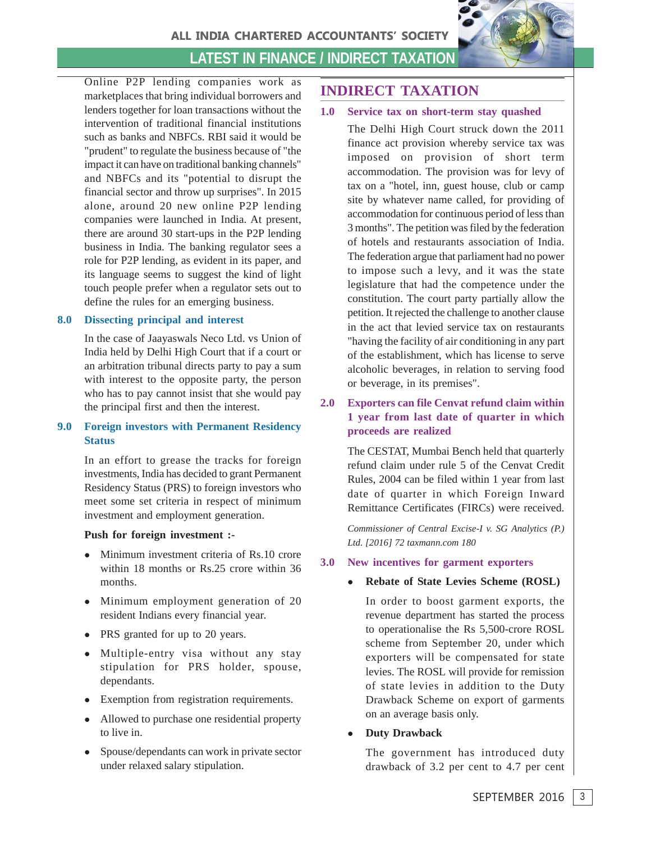

## **LATEST IN FINANCE / INDIRECT TAXATION**

Online P2P lending companies work as marketplaces that bring individual borrowers and lenders together for loan transactions without the intervention of traditional financial institutions such as banks and NBFCs. RBI said it would be "prudent" to regulate the business because of "the impact it can have on traditional banking channels" and NBFCs and its "potential to disrupt the financial sector and throw up surprises". In 2015 alone, around 20 new online P2P lending companies were launched in India. At present, there are around 30 start-ups in the P2P lending business in India. The banking regulator sees a role for P2P lending, as evident in its paper, and its language seems to suggest the kind of light touch people prefer when a regulator sets out to define the rules for an emerging business.

## **8.0 Dissecting principal and interest**

In the case of Jaayaswals Neco Ltd. vs Union of India held by Delhi High Court that if a court or an arbitration tribunal directs party to pay a sum with interest to the opposite party, the person who has to pay cannot insist that she would pay the principal first and then the interest.

## **9.0 Foreign investors with Permanent Residency Status**

In an effort to grease the tracks for foreign investments, India has decided to grant Permanent Residency Status (PRS) to foreign investors who meet some set criteria in respect of minimum investment and employment generation.

## **Push for foreign investment :-**

- Minimum investment criteria of Rs.10 crore within 18 months or Rs.25 crore within 36 months.
- Minimum employment generation of 20 resident Indians every financial year.
- PRS granted for up to 20 years.
- Multiple-entry visa without any stay stipulation for PRS holder, spouse, dependants.
- Exemption from registration requirements.
- Allowed to purchase one residential property to live in.
- Spouse/dependants can work in private sector under relaxed salary stipulation.

## **INDIRECT TAXATION**

## **1.0 Service tax on short-term stay quashed**

The Delhi High Court struck down the 2011 finance act provision whereby service tax was imposed on provision of short term accommodation. The provision was for levy of tax on a "hotel, inn, guest house, club or camp site by whatever name called, for providing of accommodation for continuous period of less than 3 months". The petition was filed by the federation of hotels and restaurants association of India. The federation argue that parliament had no power to impose such a levy, and it was the state legislature that had the competence under the constitution. The court party partially allow the petition. It rejected the challenge to another clause in the act that levied service tax on restaurants "having the facility of air conditioning in any part of the establishment, which has license to serve alcoholic beverages, in relation to serving food or beverage, in its premises".

**2.0 Exporters can file Cenvat refund claim within 1 year from last date of quarter in which proceeds are realized**

> The CESTAT, Mumbai Bench held that quarterly refund claim under rule 5 of the Cenvat Credit Rules, 2004 can be filed within 1 year from last date of quarter in which Foreign Inward Remittance Certificates (FIRCs) were received.

> *Commissioner of Central Excise-I v. SG Analytics (P.) Ltd. [2016] 72 taxmann.com 180*

## **3.0 New incentives for garment exporters**

#### $\bullet$ **Rebate of State Levies Scheme (ROSL)**

In order to boost garment exports, the revenue department has started the process to operationalise the Rs 5,500-crore ROSL scheme from September 20, under which exporters will be compensated for state levies. The ROSL will provide for remission of state levies in addition to the Duty Drawback Scheme on export of garments on an average basis only.

 $\bullet$ **Duty Drawback**

> The government has introduced duty drawback of 3.2 per cent to 4.7 per cent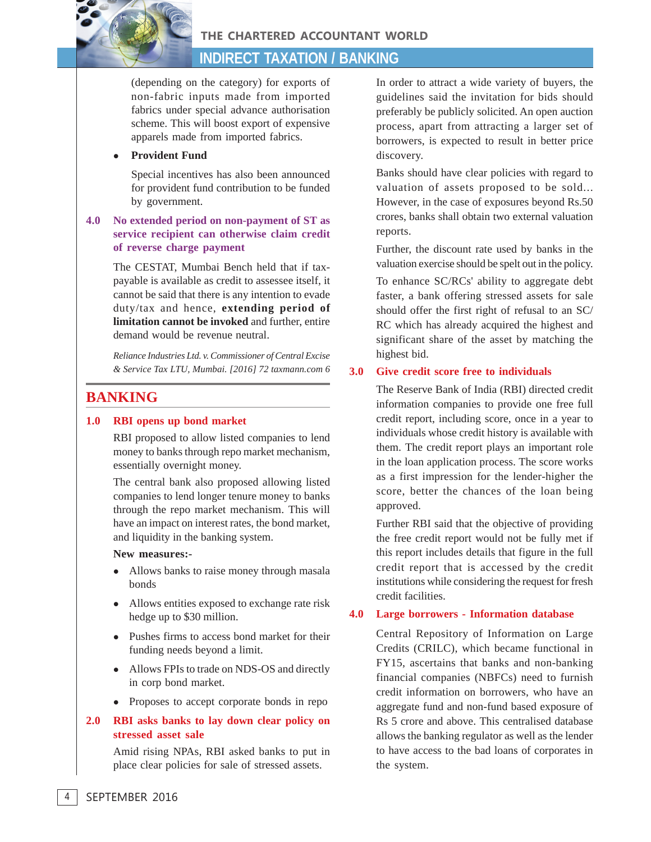THE CHARTERED ACCOUNTANT WORLD

## **INDIRECT TAXATION / BANKING**

(depending on the category) for exports of non-fabric inputs made from imported fabrics under special advance authorisation scheme. This will boost export of expensive apparels made from imported fabrics.

#### $\bullet$ **Provident Fund**

Special incentives has also been announced for provident fund contribution to be funded by government.

## **4.0 No extended period on non-payment of ST as service recipient can otherwise claim credit of reverse charge payment**

The CESTAT, Mumbai Bench held that if taxpayable is available as credit to assessee itself, it cannot be said that there is any intention to evade duty/tax and hence, **extending period of limitation cannot be invoked** and further, entire demand would be revenue neutral.

*Reliance Industries Ltd. v. Commissioner of Central Excise & Service Tax LTU, Mumbai. [2016] 72 taxmann.com 6*

## **BANKING**

## **1.0 RBI opens up bond market**

RBI proposed to allow listed companies to lend money to banks through repo market mechanism, essentially overnight money.

The central bank also proposed allowing listed companies to lend longer tenure money to banks through the repo market mechanism. This will have an impact on interest rates, the bond market, and liquidity in the banking system.

## **New measures:-**

- Allows banks to raise money through masala bonds
- Allows entities exposed to exchange rate risk hedge up to \$30 million.
- Pushes firms to access bond market for their funding needs beyond a limit.
- Allows FPIs to trade on NDS-OS and directly in corp bond market.
- Proposes to accept corporate bonds in repo

## **2.0 RBI asks banks to lay down clear policy on stressed asset sale**

Amid rising NPAs, RBI asked banks to put in place clear policies for sale of stressed assets.

In order to attract a wide variety of buyers, the guidelines said the invitation for bids should preferably be publicly solicited. An open auction process, apart from attracting a larger set of borrowers, is expected to result in better price discovery.

Banks should have clear policies with regard to valuation of assets proposed to be sold... However, in the case of exposures beyond Rs.50 crores, banks shall obtain two external valuation reports.

Further, the discount rate used by banks in the valuation exercise should be spelt out in the policy.

To enhance SC/RCs' ability to aggregate debt faster, a bank offering stressed assets for sale should offer the first right of refusal to an SC/ RC which has already acquired the highest and significant share of the asset by matching the highest bid.

## **3.0 Give credit score free to individuals**

The Reserve Bank of India (RBI) directed credit information companies to provide one free full credit report, including score, once in a year to individuals whose credit history is available with them. The credit report plays an important role in the loan application process. The score works as a first impression for the lender-higher the score, better the chances of the loan being approved.

Further RBI said that the objective of providing the free credit report would not be fully met if this report includes details that figure in the full credit report that is accessed by the credit institutions while considering the request for fresh credit facilities.

## **4.0 Large borrowers - Information database**

Central Repository of Information on Large Credits (CRILC), which became functional in FY15, ascertains that banks and non-banking financial companies (NBFCs) need to furnish credit information on borrowers, who have an aggregate fund and non-fund based exposure of Rs 5 crore and above. This centralised database allows the banking regulator as well as the lender to have access to the bad loans of corporates in the system.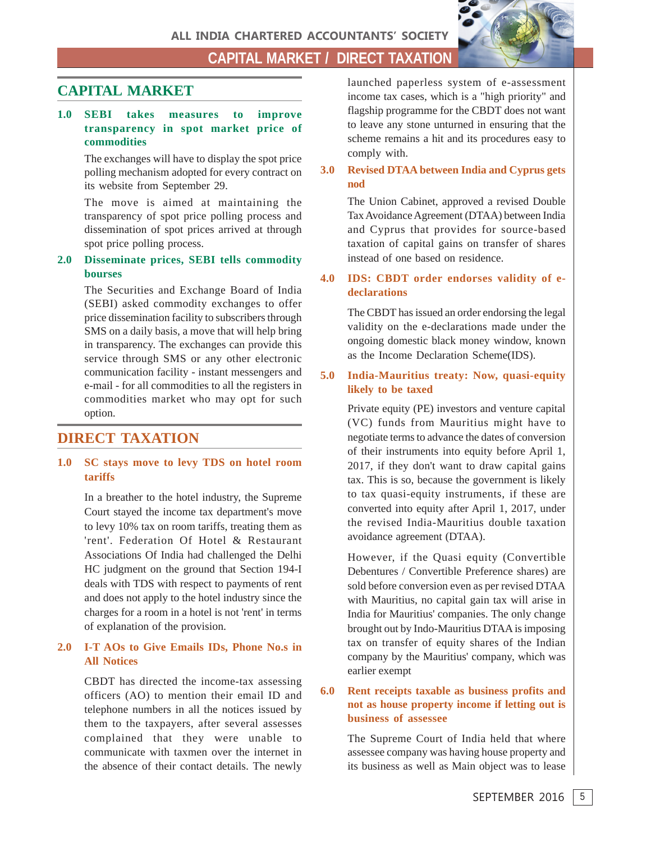ALL INDIA CHARTERED ACCOUNTANTS' SOCIETY

**CAPITAL MARKET / DIRECT TAXATION**

## **CAPITAL MARKET**

## **1.0 SEBI takes measures to improve transparency in spot market price of commodities**

The exchanges will have to display the spot price polling mechanism adopted for every contract on its website from September 29.

The move is aimed at maintaining the transparency of spot price polling process and dissemination of spot prices arrived at through spot price polling process.

## **2.0 Disseminate prices, SEBI tells commodity bourses**

The Securities and Exchange Board of India (SEBI) asked commodity exchanges to offer price dissemination facility to subscribers through SMS on a daily basis, a move that will help bring in transparency. The exchanges can provide this service through SMS or any other electronic communication facility - instant messengers and e-mail - for all commodities to all the registers in commodities market who may opt for such option.

## **DIRECT TAXATION**

## **1.0 SC stays move to levy TDS on hotel room tariffs**

In a breather to the hotel industry, the Supreme Court stayed the income tax department's move to levy 10% tax on room tariffs, treating them as 'rent'. Federation Of Hotel & Restaurant Associations Of India had challenged the Delhi HC judgment on the ground that Section 194-I deals with TDS with respect to payments of rent and does not apply to the hotel industry since the charges for a room in a hotel is not 'rent' in terms of explanation of the provision.

## **2.0 I-T AOs to Give Emails IDs, Phone No.s in All Notices**

CBDT has directed the income-tax assessing officers (AO) to mention their email ID and telephone numbers in all the notices issued by them to the taxpayers, after several assesses complained that they were unable to communicate with taxmen over the internet in the absence of their contact details. The newly launched paperless system of e-assessment income tax cases, which is a "high priority" and flagship programme for the CBDT does not want to leave any stone unturned in ensuring that the scheme remains a hit and its procedures easy to comply with.

**3.0 Revised DTAA between India and Cyprus gets nod**

> The Union Cabinet, approved a revised Double Tax Avoidance Agreement (DTAA) between India and Cyprus that provides for source-based taxation of capital gains on transfer of shares instead of one based on residence.

## **4.0 IDS: CBDT order endorses validity of edeclarations**

The CBDT has issued an order endorsing the legal validity on the e-declarations made under the ongoing domestic black money window, known as the Income Declaration Scheme(IDS).

## **5.0 India-Mauritius treaty: Now, quasi-equity likely to be taxed**

Private equity (PE) investors and venture capital (VC) funds from Mauritius might have to negotiate terms to advance the dates of conversion of their instruments into equity before April 1, 2017, if they don't want to draw capital gains tax. This is so, because the government is likely to tax quasi-equity instruments, if these are converted into equity after April 1, 2017, under the revised India-Mauritius double taxation avoidance agreement (DTAA).

However, if the Quasi equity (Convertible Debentures / Convertible Preference shares) are sold before conversion even as per revised DTAA with Mauritius, no capital gain tax will arise in India for Mauritius' companies. The only change brought out by Indo-Mauritius DTAA is imposing tax on transfer of equity shares of the Indian company by the Mauritius' company, which was earlier exempt

## **6.0 Rent receipts taxable as business profits and not as house property income if letting out is business of assessee**

The Supreme Court of India held that where assessee company was having house property and its business as well as Main object was to lease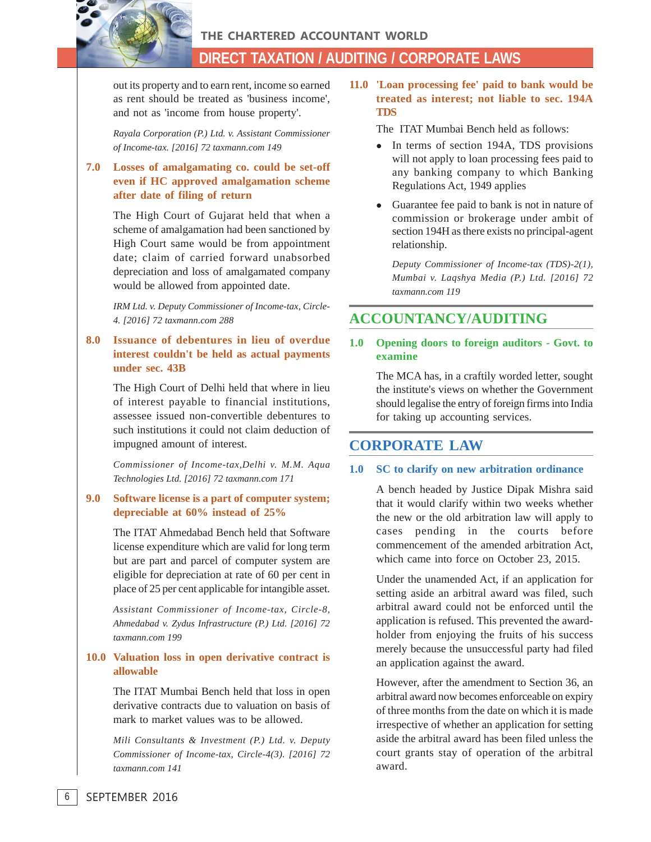THE CHARTERED ACCOUNTANT WORLD

## **DIRECT TAXATION / AUDITING / CORPORATE LAWS**

out its property and to earn rent, income so earned as rent should be treated as 'business income', and not as 'income from house property'.

*Rayala Corporation (P.) Ltd. v. Assistant Commissioner of Income-tax. [2016] 72 taxmann.com 149*

## **7.0 Losses of amalgamating co. could be set-off even if HC approved amalgamation scheme after date of filing of return**

The High Court of Gujarat held that when a scheme of amalgamation had been sanctioned by High Court same would be from appointment date; claim of carried forward unabsorbed depreciation and loss of amalgamated company would be allowed from appointed date.

*IRM Ltd. v. Deputy Commissioner of Income-tax, Circle-4. [2016] 72 taxmann.com 288*

## **8.0 Issuance of debentures in lieu of overdue interest couldn't be held as actual payments under sec. 43B**

The High Court of Delhi held that where in lieu of interest payable to financial institutions, assessee issued non-convertible debentures to such institutions it could not claim deduction of impugned amount of interest.

*Commissioner of Income-tax,Delhi v. M.M. Aqua Technologies Ltd. [2016] 72 taxmann.com 171*

## **9.0 Software license is a part of computer system; depreciable at 60% instead of 25%**

The ITAT Ahmedabad Bench held that Software license expenditure which are valid for long term but are part and parcel of computer system are eligible for depreciation at rate of 60 per cent in place of 25 per cent applicable for intangible asset.

*Assistant Commissioner of Income-tax, Circle-8, Ahmedabad v. Zydus Infrastructure (P.) Ltd. [2016] 72 taxmann.com 199*

## **10.0 Valuation loss in open derivative contract is allowable**

The ITAT Mumbai Bench held that loss in open derivative contracts due to valuation on basis of mark to market values was to be allowed.

*Mili Consultants & Investment (P.) Ltd. v. Deputy Commissioner of Income-tax, Circle-4(3). [2016] 72 taxmann.com 141*

**11.0 'Loan processing fee' paid to bank would be treated as interest; not liable to sec. 194A TDS**

The ITAT Mumbai Bench held as follows:

- In terms of section 194A, TDS provisions will not apply to loan processing fees paid to any banking company to which Banking Regulations Act, 1949 applies
- Guarantee fee paid to bank is not in nature of commission or brokerage under ambit of section 194H as there exists no principal-agent relationship.

*Deputy Commissioner of Income-tax (TDS)-2(1), Mumbai v. Laqshya Media (P.) Ltd. [2016] 72 taxmann.com 119*

## **ACCOUNTANCY/AUDITING**

## **1.0 Opening doors to foreign auditors - Govt. to examine**

The MCA has, in a craftily worded letter, sought the institute's views on whether the Government should legalise the entry of foreign firms into India for taking up accounting services.

## **CORPORATE LAW**

#### **1.0 SC to clarify on new arbitration ordinance**

A bench headed by Justice Dipak Mishra said that it would clarify within two weeks whether the new or the old arbitration law will apply to cases pending in the courts before commencement of the amended arbitration Act, which came into force on October 23, 2015.

Under the unamended Act, if an application for setting aside an arbitral award was filed, such arbitral award could not be enforced until the application is refused. This prevented the awardholder from enjoying the fruits of his success merely because the unsuccessful party had filed an application against the award.

However, after the amendment to Section 36, an arbitral award now becomes enforceable on expiry of three months from the date on which it is made irrespective of whether an application for setting aside the arbitral award has been filed unless the court grants stay of operation of the arbitral award.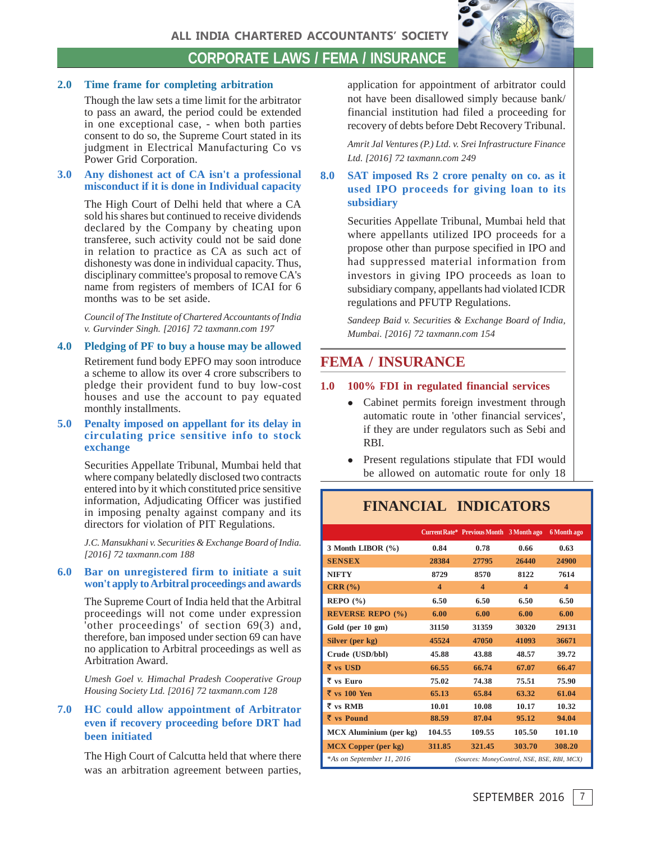

## **CORPORATE LAWS / FEMA / INSURANCE**

## **2.0 Time frame for completing arbitration**

Though the law sets a time limit for the arbitrator to pass an award, the period could be extended in one exceptional case, - when both parties consent to do so, the Supreme Court stated in its judgment in Electrical Manufacturing Co vs Power Grid Corporation.

#### **3.0 Any dishonest act of CA isn't a professional misconduct if it is done in Individual capacity**

The High Court of Delhi held that where a CA sold his shares but continued to receive dividends declared by the Company by cheating upon transferee, such activity could not be said done in relation to practice as CA as such act of dishonesty was done in individual capacity. Thus, disciplinary committee's proposal to remove CA's name from registers of members of ICAI for 6 months was to be set aside.

*Council of The Institute of Chartered Accountants of India v. Gurvinder Singh. [2016] 72 taxmann.com 197*

#### **4.0 Pledging of PF to buy a house may be allowed**

Retirement fund body EPFO may soon introduce a scheme to allow its over 4 crore subscribers to pledge their provident fund to buy low-cost houses and use the account to pay equated monthly installments.

## **5.0 Penalty imposed on appellant for its delay in circulating price sensitive info to stock exchange**

Securities Appellate Tribunal, Mumbai held that where company belatedly disclosed two contracts entered into by it which constituted price sensitive information, Adjudicating Officer was justified in imposing penalty against company and its directors for violation of PIT Regulations.

*J.C. Mansukhani v. Securities & Exchange Board of India. [2016] 72 taxmann.com 188*

#### **6.0 Bar on unregistered firm to initiate a suit won't apply to Arbitral proceedings and awards**

The Supreme Court of India held that the Arbitral proceedings will not come under expression 'other proceedings' of section 69(3) and, therefore, ban imposed under section 69 can have no application to Arbitral proceedings as well as Arbitration Award.

*Umesh Goel v. Himachal Pradesh Cooperative Group Housing Society Ltd. [2016] 72 taxmann.com 128*

## **7.0 HC could allow appointment of Arbitrator even if recovery proceeding before DRT had been initiated**

The High Court of Calcutta held that where there was an arbitration agreement between parties, application for appointment of arbitrator could not have been disallowed simply because bank/ financial institution had filed a proceeding for recovery of debts before Debt Recovery Tribunal.

*Amrit Jal Ventures (P.) Ltd. v. Srei Infrastructure Finance Ltd. [2016] 72 taxmann.com 249*

## **8.0 SAT imposed Rs 2 crore penalty on co. as it used IPO proceeds for giving loan to its subsidiary**

Securities Appellate Tribunal, Mumbai held that where appellants utilized IPO proceeds for a propose other than purpose specified in IPO and had suppressed material information from investors in giving IPO proceeds as loan to subsidiary company, appellants had violated ICDR regulations and PFUTP Regulations.

*Sandeep Baid v. Securities & Exchange Board of India, Mumbai. [2016] 72 taxmann.com 154*

## **FEMA / INSURANCE**

## **1.0 100% FDI in regulated financial services**

- Cabinet permits foreign investment through automatic route in 'other financial services', if they are under regulators such as Sebi and RBI.
- $\bullet$  Present regulations stipulate that FDI would be allowed on automatic route for only 18

## **FINANCIAL INDICATORS**

|                            |                         | Current Rate* Previous Month 3 Month ago    |                         | 6 Month ago             |  |
|----------------------------|-------------------------|---------------------------------------------|-------------------------|-------------------------|--|
| 3 Month LIBOR $(\% )$      | 0.84                    | 0.78                                        | 0.66                    | 0.63                    |  |
| <b>SENSEX</b>              | 28384                   | 27795                                       | 26440                   | 24900                   |  |
| <b>NIFTY</b>               | 8729                    | 8570                                        | 8122                    | 7614                    |  |
| $CRR$ $%$                  | $\overline{\mathbf{4}}$ | $\boldsymbol{4}$                            | $\overline{\mathbf{4}}$ | $\overline{\mathbf{4}}$ |  |
| REPO(%)                    | 6.50                    | 6.50                                        | 6.50                    | 6.50                    |  |
| <b>REVERSE REPO (%)</b>    | 6.00                    | 6.00                                        | 6.00                    | 6.00                    |  |
| Gold (per 10 gm)           | 31150                   | 31359                                       | 30320                   | 29131                   |  |
| Silver (per kg)            | 45524                   | 47050                                       | 41093                   | 36671                   |  |
| Crude (USD/bbl)            | 45.88                   | 43.88                                       | 48.57                   | 39.72                   |  |
| $\bar{\tau}$ vs USD        | 66.55                   | 66.74                                       | 67.07                   | 66.47                   |  |
| $\bar{\tau}$ vs Euro       | 75.02                   | 74.38                                       | 75.51                   | 75.90                   |  |
| $\bar{\tau}$ vs 100 Yen    | 65.13                   | 65.84                                       | 63.32                   | 61.04                   |  |
| $\overline{\tau}$ vs RMB   | 10.01                   | 10.08                                       | 10.17                   | 10.32                   |  |
| $\bar{\tau}$ vs Pound      | 88.59                   | 87.04                                       | 95.12                   | 94.04                   |  |
| MCX Aluminium (per kg)     | 104.55                  | 109.55                                      | 105.50                  | 101.10                  |  |
| <b>MCX Copper (per kg)</b> | 311.85                  | 321.45                                      | 303.70                  | 308.20                  |  |
| *As on September 11, 2016  |                         | (Sources: MoneyControl, NSE, BSE, RBI, MCX) |                         |                         |  |